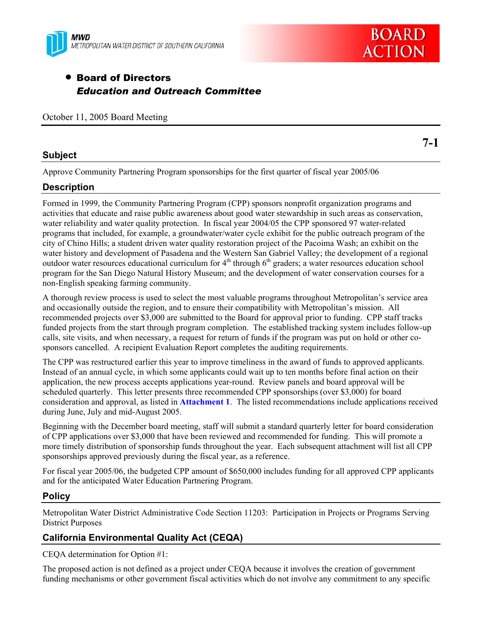



**7-1** 

## • Board of Directors *Education and Outreach Committee*

|  |  |  |  | October 11, 2005 Board Meeting |
|--|--|--|--|--------------------------------|
|--|--|--|--|--------------------------------|

## **Subject**

Approve Community Partnering Program sponsorships for the first quarter of fiscal year 2005/06

## **Description**

Formed in 1999, the Community Partnering Program (CPP) sponsors nonprofit organization programs and activities that educate and raise public awareness about good water stewardship in such areas as conservation, water reliability and water quality protection. In fiscal year 2004/05 the CPP sponsored 97 water-related programs that included, for example, a groundwater/water cycle exhibit for the public outreach program of the city of Chino Hills; a student driven water quality restoration project of the Pacoima Wash; an exhibit on the water history and development of Pasadena and the Western San Gabriel Valley; the development of a regional outdoor water resources educational curriculum for  $4<sup>th</sup>$  through  $6<sup>th</sup>$  graders; a water resources education school program for the San Diego Natural History Museum; and the development of water conservation courses for a non-English speaking farming community.

A thorough review process is used to select the most valuable programs throughout Metropolitan's service area and occasionally outside the region, and to ensure their compatibility with Metropolitan's mission. All recommended projects over \$3,000 are submitted to the Board for approval prior to funding. CPP staff tracks funded projects from the start through program completion. The established tracking system includes follow-up calls, site visits, and when necessary, a request for return of funds if the program was put on hold or other cosponsors cancelled. A recipient Evaluation Report completes the auditing requirements.

The CPP was restructured earlier this year to improve timeliness in the award of funds to approved applicants. Instead of an annual cycle, in which some applicants could wait up to ten months before final action on their application, the new process accepts applications year-round. Review panels and board approval will be scheduled quarterly. This letter presents three recommended CPP sponsorships (over \$3,000) for board consideration and approval, as listed in **Attachment 1**. The listed recommendations include applications received during June, July and mid-August 2005.

Beginning with the December board meeting, staff will submit a standard quarterly letter for board consideration of CPP applications over \$3,000 that have been reviewed and recommended for funding. This will promote a more timely distribution of sponsorship funds throughout the year. Each subsequent attachment will list all CPP sponsorships approved previously during the fiscal year, as a reference.

For fiscal year 2005/06, the budgeted CPP amount of \$650,000 includes funding for all approved CPP applicants and for the anticipated Water Education Partnering Program.

### **Policy**

Metropolitan Water District Administrative Code Section 11203: Participation in Projects or Programs Serving District Purposes

## **California Environmental Quality Act (CEQA)**

CEQA determination for Option #1:

The proposed action is not defined as a project under CEQA because it involves the creation of government funding mechanisms or other government fiscal activities which do not involve any commitment to any specific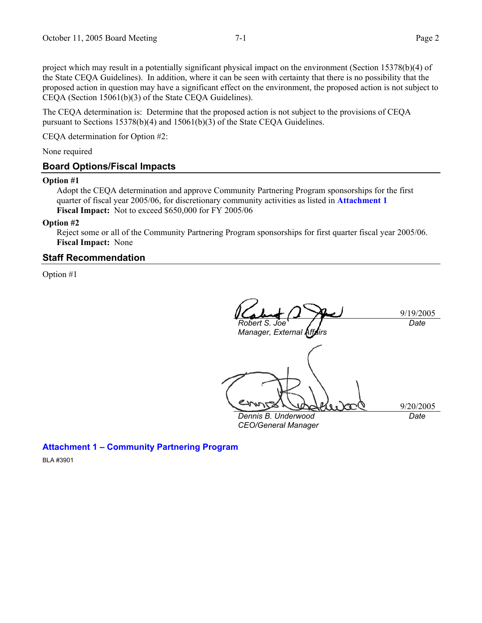project which may result in a potentially significant physical impact on the environment (Section 15378(b)(4) of the State CEQA Guidelines). In addition, where it can be seen with certainty that there is no possibility that the proposed action in question may have a significant effect on the environment, the proposed action is not subject to CEQA (Section 15061(b)(3) of the State CEQA Guidelines).

The CEQA determination is: Determine that the proposed action is not subject to the provisions of CEQA pursuant to Sections 15378(b)(4) and 15061(b)(3) of the State CEQA Guidelines.

CEQA determination for Option #2:

None required

#### **Board Options/Fiscal Impacts**

#### **Option #1**

Adopt the CEQA determination and approve Community Partnering Program sponsorships for the first quarter of fiscal year 2005/06, for discretionary community activities as listed in **Attachment 1 Fiscal Impact:** Not to exceed \$650,000 for FY 2005/06

#### **Option #2**

Reject some or all of the Community Partnering Program sponsorships for first quarter fiscal year 2005/06. **Fiscal Impact:** None

#### **Staff Recommendation**

Option #1

9/19/2005 *Robert S. Joe Manager, External Af Date* 

*Dennis B. Underwood* 

*CEO/General Manager* 

9/20/2005 *Date* 

**Attachment 1 – Community Partnering Program** 

BLA #3901